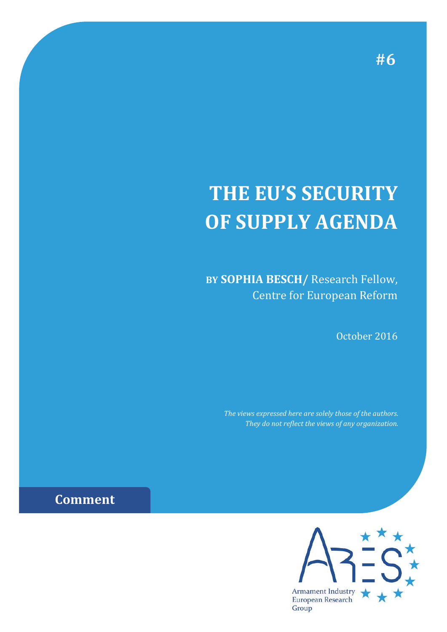## **THE EU'S SECURITY OF SUPPLY AGENDA**

**BY SOPHIA BESCH/** Research Fellow, Centre for European Reform

October 2016

*The views expressed here are solely those of the authors. They do not reflect the views of any organization.*



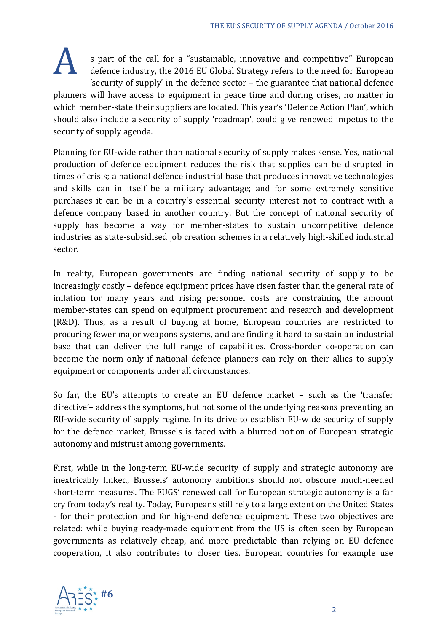s part of the call for a "sustainable, innovative and competitive" European defence industry, the 2016 EU Global Strategy refers to the need for European 'security of supply' in the defence sector – the guarantee that national defence planners will have access to equipment in peace time and during crises, no matter in which member-state their suppliers are located. This year's 'Defence Action Plan', which should also include a security of supply 'roadmap', could give renewed impetus to the security of supply agenda.

Planning for EU-wide rather than national security of supply makes sense. Yes, national production of defence equipment reduces the risk that supplies can be disrupted in times of crisis; a national defence industrial base that produces innovative technologies and skills can in itself be a military advantage; and for some extremely sensitive purchases it can be in a country's essential security interest not to contract with a defence company based in another country. But the concept of national security of supply has become a way for member-states to sustain uncompetitive defence industries as state-subsidised job creation schemes in a relatively high-skilled industrial sector.

In reality, European governments are finding national security of supply to be increasingly costly – defence equipment prices have risen faster than the general rate of inflation for many years and rising personnel costs are constraining the amount member-states can spend on equipment procurement and research and development (R&D). Thus, as a result of buying at home, European countries are restricted to procuring fewer major weapons systems, and are finding it hard to sustain an industrial base that can deliver the full range of capabilities. Cross-border co-operation can become the norm only if national defence planners can rely on their allies to supply equipment or components under all circumstances.

So far, the EU's attempts to create an EU defence market – such as the 'transfer directive'– address the symptoms, but not some of the underlying reasons preventing an EU-wide security of supply regime. In its drive to establish EU-wide security of supply for the defence market, Brussels is faced with a blurred notion of European strategic autonomy and mistrust among governments.

First, while in the long-term EU-wide security of supply and strategic autonomy are inextricably linked, Brussels' autonomy ambitions should not obscure much-needed short-term measures. The EUGS' renewed call for European strategic autonomy is a far cry from today's reality. Today, Europeans still rely to a large extent on the United States - for their protection and for high-end defence equipment. These two objectives are related: while buying ready-made equipment from the US is often seen by European governments as relatively cheap, and more predictable than relying on EU defence cooperation, it also contributes to closer ties. European countries for example use

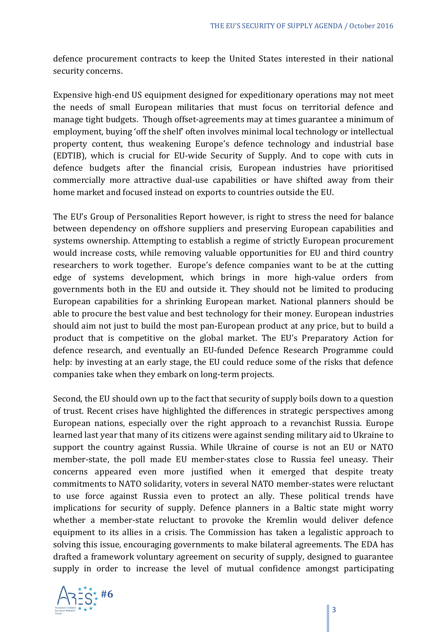defence procurement contracts to keep the United States interested in their national security concerns.

Expensive high-end US equipment designed for expeditionary operations may not meet the needs of small European militaries that must focus on territorial defence and manage tight budgets. Though offset-agreements may at times guarantee a minimum of employment, buying 'off the shelf' often involves minimal local technology or intellectual property content, thus weakening Europe's defence technology and industrial base (EDTIB), which is crucial for EU-wide Security of Supply. And to cope with cuts in defence budgets after the financial crisis, European industries have prioritised commercially more attractive dual-use capabilities or have shifted away from their home market and focused instead on exports to countries outside the EU.

The EU's Group of Personalities Report however, is right to stress the need for balance between dependency on offshore suppliers and preserving European capabilities and systems ownership. Attempting to establish a regime of strictly European procurement would increase costs, while removing valuable opportunities for EU and third country researchers to work together. Europe's defence companies want to be at the cutting edge of systems development, which brings in more high-value orders from governments both in the EU and outside it. They should not be limited to producing European capabilities for a shrinking European market. National planners should be able to procure the best value and best technology for their money. European industries should aim not just to build the most pan-European product at any price, but to build a product that is competitive on the global market. The EU's Preparatory Action for defence research, and eventually an EU-funded Defence Research Programme could help: by investing at an early stage, the EU could reduce some of the risks that defence companies take when they embark on long-term projects.

Second, the EU should own up to the fact that security of supply boils down to a question of trust. Recent crises have highlighted the differences in strategic perspectives among European nations, especially over the right approach to a revanchist Russia. Europe learned last year that many of its citizens were against sending military aid to Ukraine to support the country against Russia. While Ukraine of course is not an EU or NATO member-state, the poll made EU member-states close to Russia feel uneasy. Their concerns appeared even more justified when it emerged that despite treaty commitments to NATO solidarity, voters in several NATO member-states were reluctant to use force against Russia even to protect an ally. These political trends have implications for security of supply. Defence planners in a Baltic state might worry whether a member-state reluctant to provoke the Kremlin would deliver defence equipment to its allies in a crisis. The Commission has taken a legalistic approach to solving this issue, encouraging governments to make bilateral agreements. The EDA has drafted a framework voluntary agreement on security of supply, designed to guarantee supply in order to increase the level of mutual confidence amongst participating

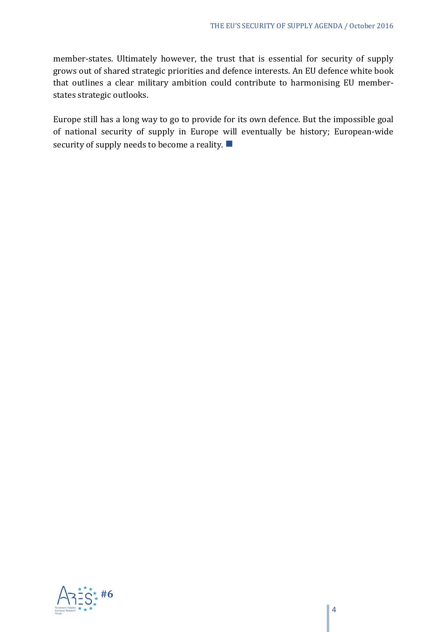member-states. Ultimately however, the trust that is essential for security of supply grows out of shared strategic priorities and defence interests. An EU defence white book that outlines a clear military ambition could contribute to harmonising EU memberstates strategic outlooks.

Europe still has a long way to go to provide for its own defence. But the impossible goal of national security of supply in Europe will eventually be history; European-wide security of supply needs to become a reality.